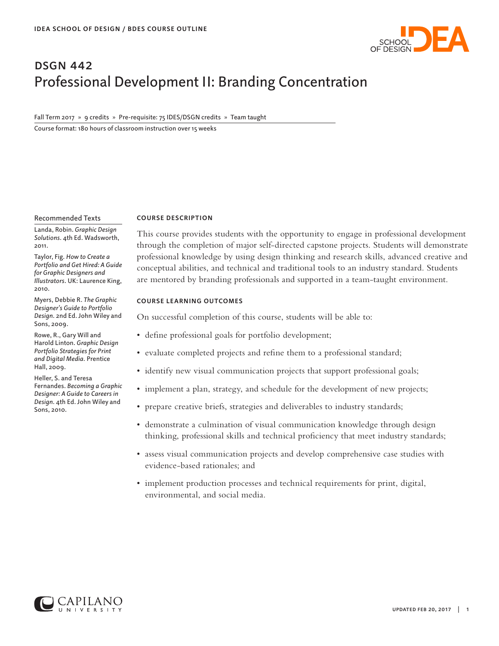

### **DSGN 442** Professional Development II: Branding Concentration

Fall Term 2017 » 9 credits » Pre-requisite: 75 IDES/DSGN credits » Team taught

Course format: 180 hours of classroom instruction over 15 weeks

#### Recommended Texts

Landa, Robin. *Graphic Design Solutions.* 4th Ed. Wadsworth, 2011.

Taylor, Fig. *How to Create a Portfolio and Get Hired: A Guide for Graphic Designers and Illustrators*. UK: Laurence King, 2010.

Myers, Debbie R. *The Graphic Designer's Guide to Portfolio Design.* 2nd Ed. John Wiley and Sons, 2009.

Rowe, R., Gary Will and Harold Linton. *Graphic Design Portfolio Strategies for Print and Digital Media.* Prentice Hall, 2009.

Heller, S. and Teresa Fernandes. *Becoming a Graphic Designer: A Guide to Careers in Design.* 4th Ed. John Wiley and Sons, 2010.

#### **COURSE DESCRIPTION**

This course provides students with the opportunity to engage in professional development through the completion of major self-directed capstone projects. Students will demonstrate professional knowledge by using design thinking and research skills, advanced creative and conceptual abilities, and technical and traditional tools to an industry standard. Students are mentored by branding professionals and supported in a team-taught environment.

### **COURSE LEARNING OUTCOMES**

On successful completion of this course, students will be able to:

- define professional goals for portfolio development;
- evaluate completed projects and refine them to a professional standard;
- identify new visual communication projects that support professional goals;
- implement a plan, strategy, and schedule for the development of new projects;
- prepare creative briefs, strategies and deliverables to industry standards;
- demonstrate a culmination of visual communication knowledge through design thinking, professional skills and technical proficiency that meet industry standards;
- assess visual communication projects and develop comprehensive case studies with evidence-based rationales; and
- implement production processes and technical requirements for print, digital, environmental, and social media.

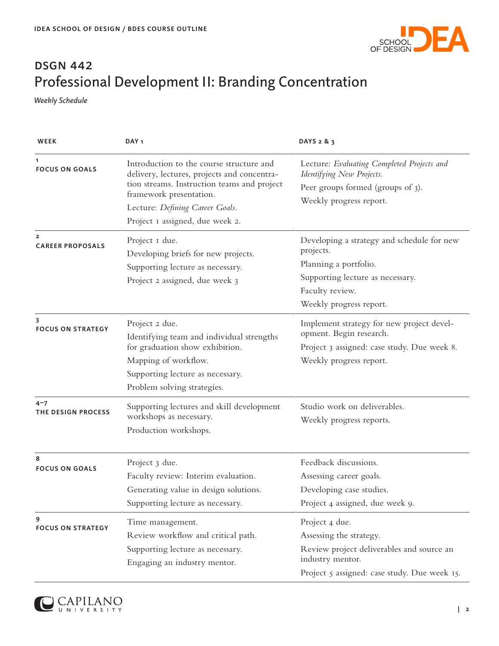

# **DSGN 442** Professional Development II: Branding Concentration

*Weekly Schedule*

| WEEK                                      | DAY <sub>1</sub>                                                                                                                                                                                                                        | DAYS 2 & 3                                                                                                                                                         |
|-------------------------------------------|-----------------------------------------------------------------------------------------------------------------------------------------------------------------------------------------------------------------------------------------|--------------------------------------------------------------------------------------------------------------------------------------------------------------------|
| 1<br><b>FOCUS ON GOALS</b>                | Introduction to the course structure and<br>delivery, lectures, projects and concentra-<br>tion streams. Instruction teams and project<br>framework presentation.<br>Lecture: Defining Career Goals.<br>Project I assigned, due week 2. | Lecture: Evaluating Completed Projects and<br>Identifying New Projects.<br>Peer groups formed (groups of 3).<br>Weekly progress report.                            |
| $\overline{2}$<br><b>CAREER PROPOSALS</b> | Project I due.<br>Developing briefs for new projects.<br>Supporting lecture as necessary.<br>Project 2 assigned, due week 3                                                                                                             | Developing a strategy and schedule for new<br>projects.<br>Planning a portfolio.<br>Supporting lecture as necessary.<br>Faculty review.<br>Weekly progress report. |
| 3<br><b>FOCUS ON STRATEGY</b>             | Project 2 due.<br>Identifying team and individual strengths<br>for graduation show exhibition.<br>Mapping of workflow.<br>Supporting lecture as necessary.<br>Problem solving strategies.                                               | Implement strategy for new project devel-<br>opment. Begin research.<br>Project 3 assigned: case study. Due week 8.<br>Weekly progress report.                     |
| $4 - 7$<br>THE DESIGN PROCESS             | Supporting lectures and skill development<br>workshops as necessary.<br>Production workshops.                                                                                                                                           | Studio work on deliverables.<br>Weekly progress reports.                                                                                                           |
| 8<br><b>FOCUS ON GOALS</b>                | Project 3 due.<br>Faculty review: Interim evaluation.<br>Generating value in design solutions.<br>Supporting lecture as necessary.                                                                                                      | Feedback discussions.<br>Assessing career goals.<br>Developing case studies.<br>Project 4 assigned, due week 9.                                                    |
| 9<br><b>FOCUS ON STRATEGY</b>             | Time management.<br>Review workflow and critical path.<br>Supporting lecture as necessary.<br>Engaging an industry mentor.                                                                                                              | Project 4 due.<br>Assessing the strategy.<br>Review project deliverables and source an<br>industry mentor.<br>Project 5 assigned: case study. Due week 15.         |

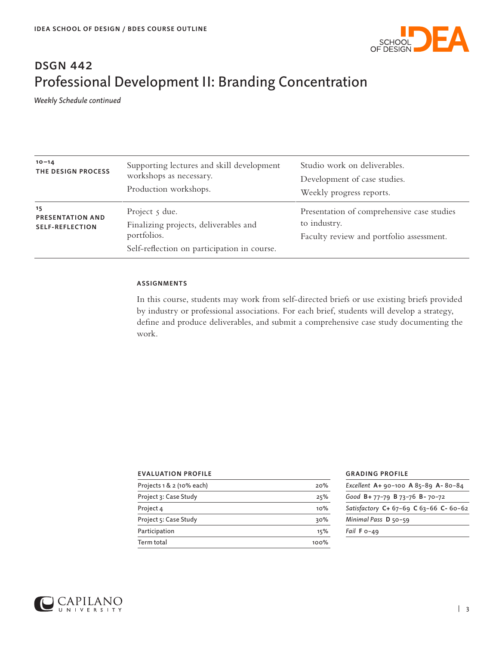

# **DSGN 442** Professional Development II: Branding Concentration

*Weekly Schedule continued*

| $10 - 14$<br>THE DESIGN PROCESS                         | Supporting lectures and skill development<br>workshops as necessary.<br>Production workshops.                               | Studio work on deliverables.<br>Development of case studies.<br>Weekly progress reports.               |
|---------------------------------------------------------|-----------------------------------------------------------------------------------------------------------------------------|--------------------------------------------------------------------------------------------------------|
| 15<br><b>PRESENTATION AND</b><br><b>SELF-REFLECTION</b> | Project $\zeta$ due.<br>Finalizing projects, deliverables and<br>portfolios.<br>Self-reflection on participation in course. | Presentation of comprehensive case studies<br>to industry.<br>Faculty review and portfolio assessment. |

### **ASSIGNMENTS**

In this course, students may work from self-directed briefs or use existing briefs provided by industry or professional associations. For each brief, students will develop a strategy, define and produce deliverables, and submit a comprehensive case study documenting the work.

| <b>EVALUATION PROFILE</b>   |      | <b>GRAD</b> |
|-----------------------------|------|-------------|
| Projects $1 & 2$ (10% each) | 20%  | Exceller    |
| Project 3: Case Study       | 25%  | Good E      |
| Project 4                   | 10%  | Satisfa     |
| Project 5: Case Study       | 30%  | Minimo      |
| Participation               | 15%  | Fail F c    |
| Term total                  | 100% |             |

### **ING PROFILE**